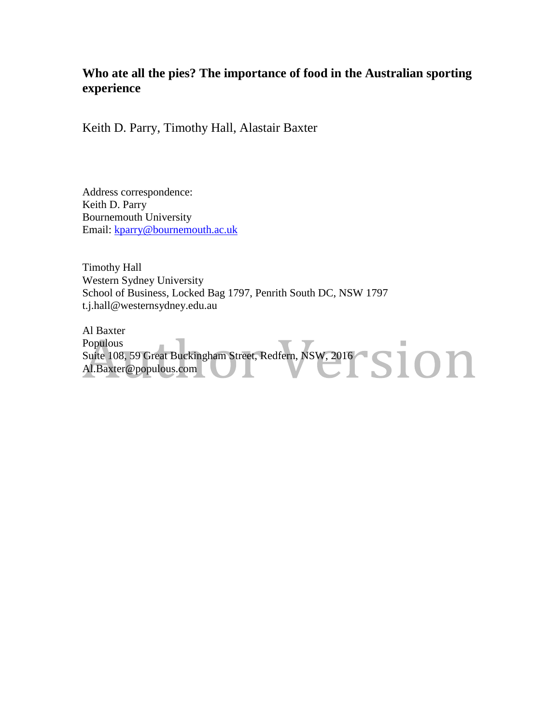### **Who ate all the pies? The importance of food in the Australian sporting experience**

Keith D. Parry, Timothy Hall, Alastair Baxter

Address correspondence: Keith D. Parry Bournemouth University Email: [kparry@bournemouth.ac.uk](mailto:kparry@bournemouth.ac.uk)

Timothy Hall Western Sydney University School of Business, Locked Bag 1797, Penrith South DC, NSW 1797 t.j.hall@westernsydney.edu.au

Al Baxter Populous Suite 108, 59 Great Buckingham Street, Redfern, NSW, 2016 Al.Baxter@populous.com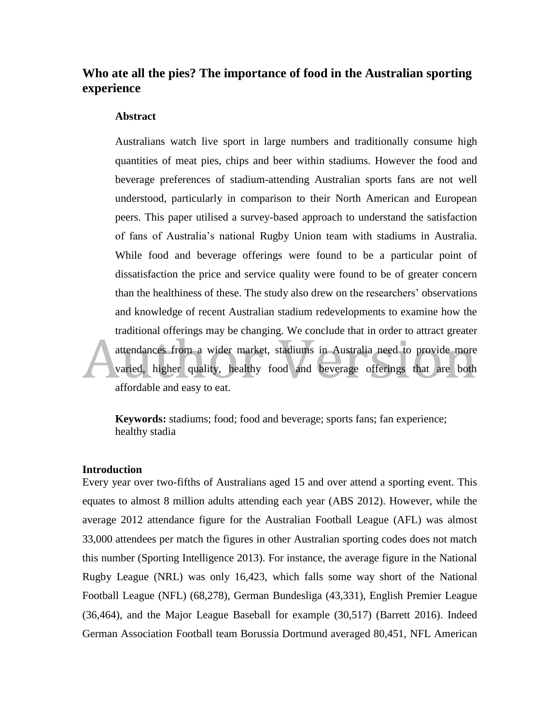### **Who ate all the pies? The importance of food in the Australian sporting experience**

#### **Abstract**

Australians watch live sport in large numbers and traditionally consume high quantities of meat pies, chips and beer within stadiums. However the food and beverage preferences of stadium-attending Australian sports fans are not well understood, particularly in comparison to their North American and European peers. This paper utilised a survey-based approach to understand the satisfaction of fans of Australia's national Rugby Union team with stadiums in Australia. While food and beverage offerings were found to be a particular point of dissatisfaction the price and service quality were found to be of greater concern than the healthiness of these. The study also drew on the researchers' observations and knowledge of recent Australian stadium redevelopments to examine how the traditional offerings may be changing. We conclude that in order to attract greater attendances from a wider market, stadiums in Australia need to provide more varied, higher quality, healthy food and beverage offerings that are both affordable and easy to eat.

**Keywords:** stadiums; food; food and beverage; sports fans; fan experience; healthy stadia

#### **Introduction**

Every year over two-fifths of Australians aged 15 and over attend a sporting event. This equates to almost 8 million adults attending each year (ABS 2012). However, while the average 2012 attendance figure for the Australian Football League (AFL) was almost 33,000 attendees per match the figures in other Australian sporting codes does not match this number (Sporting Intelligence 2013). For instance, the average figure in the National Rugby League (NRL) was only 16,423, which falls some way short of the National Football League (NFL) (68,278), German Bundesliga (43,331), English Premier League (36,464), and the Major League Baseball for example (30,517) (Barrett 2016). Indeed German Association Football team Borussia Dortmund averaged 80,451, NFL American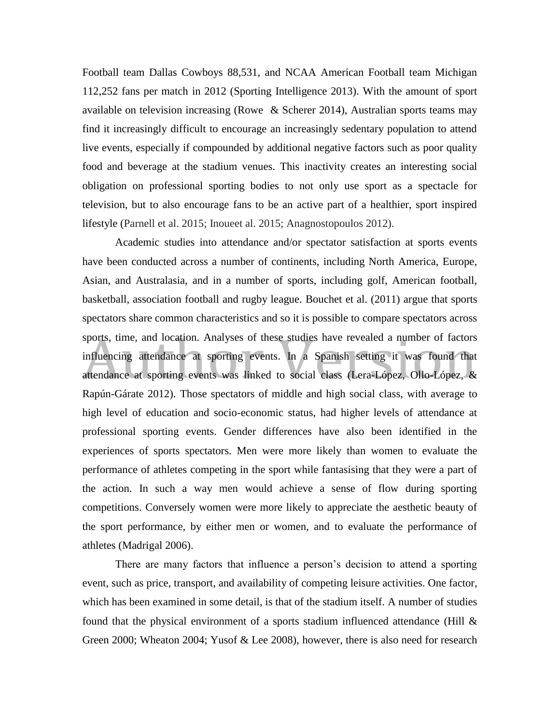Football team Dallas Cowboys 88,531, and NCAA American Football team Michigan 112,252 fans per match in 2012 (Sporting Intelligence 2013). With the amount of sport available on television increasing (Rowe & Scherer 2014), Australian sports teams may find it increasingly difficult to encourage an increasingly sedentary population to attend live events, especially if compounded by additional negative factors such as poor quality food and beverage at the stadium venues. This inactivity creates an interesting social obligation on professional sporting bodies to not only use sport as a spectacle for television, but to also encourage fans to be an active part of a healthier, sport inspired lifestyle (Parnell et al. 2015; Inoueet al. 2015; Anagnostopoulos 2012).

Academic studies into attendance and/or spectator satisfaction at sports events have been conducted across a number of continents, including North America, Europe, Asian, and Australasia, and in a number of sports, including golf, American football, basketball, association football and rugby league. Bouchet et al. (2011) argue that sports spectators share common characteristics and so it is possible to compare spectators across sports, time, and location. Analyses of these studies have revealed a number of factors influencing attendance at sporting events. In a Spanish setting it was found that attendance at sporting events was linked to social class (Lera-López, Ollo-López, & Rapún-Gárate 2012). Those spectators of middle and high social class, with average to high level of education and socio-economic status, had higher levels of attendance at professional sporting events. Gender differences have also been identified in the experiences of sports spectators. Men were more likely than women to evaluate the performance of athletes competing in the sport while fantasising that they were a part of the action. In such a way men would achieve a sense of flow during sporting competitions. Conversely women were more likely to appreciate the aesthetic beauty of the sport performance, by either men or women, and to evaluate the performance of athletes (Madrigal 2006).

There are many factors that influence a person's decision to attend a sporting event, such as price, transport, and availability of competing leisure activities. One factor, which has been examined in some detail, is that of the stadium itself. A number of studies found that the physical environment of a sports stadium influenced attendance (Hill & Green 2000; Wheaton 2004; Yusof & Lee 2008), however, there is also need for research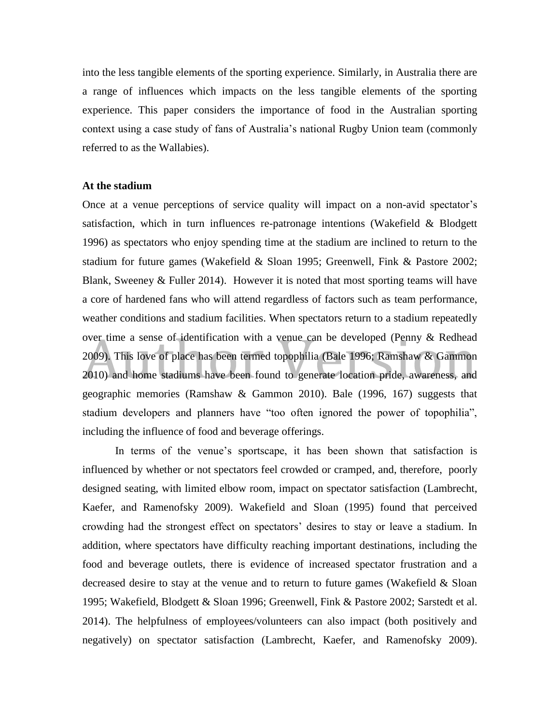into the less tangible elements of the sporting experience. Similarly, in Australia there are a range of influences which impacts on the less tangible elements of the sporting experience. This paper considers the importance of food in the Australian sporting context using a case study of fans of Australia's national Rugby Union team (commonly referred to as the Wallabies).

#### **At the stadium**

Once at a venue perceptions of service quality will impact on a non-avid spectator's satisfaction, which in turn influences re-patronage intentions (Wakefield & Blodgett 1996) as spectators who enjoy spending time at the stadium are inclined to return to the stadium for future games (Wakefield & Sloan 1995; Greenwell, Fink & Pastore 2002; Blank, Sweeney & Fuller 2014). However it is noted that most sporting teams will have a core of hardened fans who will attend regardless of factors such as team performance, weather conditions and stadium facilities. When spectators return to a stadium repeatedly over time a sense of identification with a venue can be developed (Penny & Redhead 2009). This love of place has been termed topophilia (Bale 1996; Ramshaw & Gammon 2010) and home stadiums have been found to generate location pride, awareness, and geographic memories (Ramshaw & Gammon 2010). Bale (1996, 167) suggests that stadium developers and planners have "too often ignored the power of topophilia", including the influence of food and beverage offerings.

In terms of the venue's sportscape, it has been shown that satisfaction is influenced by whether or not spectators feel crowded or cramped, and, therefore, poorly designed seating, with limited elbow room, impact on spectator satisfaction (Lambrecht, Kaefer, and Ramenofsky 2009). Wakefield and Sloan (1995) found that perceived crowding had the strongest effect on spectators' desires to stay or leave a stadium. In addition, where spectators have difficulty reaching important destinations, including the food and beverage outlets, there is evidence of increased spectator frustration and a decreased desire to stay at the venue and to return to future games (Wakefield & Sloan 1995; Wakefield, Blodgett & Sloan 1996; Greenwell, Fink & Pastore 2002; Sarstedt et al. 2014). The helpfulness of employees/volunteers can also impact (both positively and negatively) on spectator satisfaction (Lambrecht, Kaefer, and Ramenofsky 2009).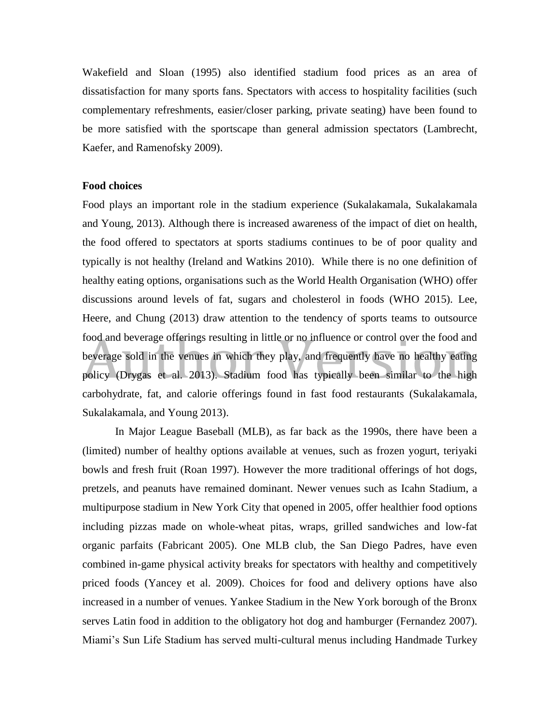Wakefield and Sloan (1995) also identified stadium food prices as an area of dissatisfaction for many sports fans. Spectators with access to hospitality facilities (such complementary refreshments, easier/closer parking, private seating) have been found to be more satisfied with the sportscape than general admission spectators (Lambrecht, Kaefer, and Ramenofsky 2009).

#### **Food choices**

Food plays an important role in the stadium experience (Sukalakamala, Sukalakamala and Young, 2013). Although there is increased awareness of the impact of diet on health, the food offered to spectators at sports stadiums continues to be of poor quality and typically is not healthy (Ireland and Watkins 2010). While there is no one definition of healthy eating options, organisations such as the World Health Organisation (WHO) offer discussions around levels of fat, sugars and cholesterol in foods (WHO 2015). Lee, Heere, and Chung (2013) draw attention to the tendency of sports teams to outsource food and beverage offerings resulting in little or no influence or control over the food and beverage sold in the venues in which they play, and frequently have no healthy eating policy (Drygas et al. 2013). Stadium food has typically been similar to the high carbohydrate, fat, and calorie offerings found in fast food restaurants (Sukalakamala, Sukalakamala, and Young 2013).

In Major League Baseball (MLB), as far back as the 1990s, there have been a (limited) number of healthy options available at venues, such as frozen yogurt, teriyaki bowls and fresh fruit (Roan 1997). However the more traditional offerings of hot dogs, pretzels, and peanuts have remained dominant. Newer venues such as Icahn Stadium, a multipurpose stadium in New York City that opened in 2005, offer healthier food options including pizzas made on whole-wheat pitas, wraps, grilled sandwiches and low-fat organic parfaits (Fabricant 2005). One MLB club, the San Diego Padres, have even combined in-game physical activity breaks for spectators with healthy and competitively priced foods (Yancey et al. 2009). Choices for food and delivery options have also increased in a number of venues. Yankee Stadium in the New York borough of the Bronx serves Latin food in addition to the obligatory hot dog and hamburger (Fernandez 2007). Miami's Sun Life Stadium has served multi-cultural menus including Handmade Turkey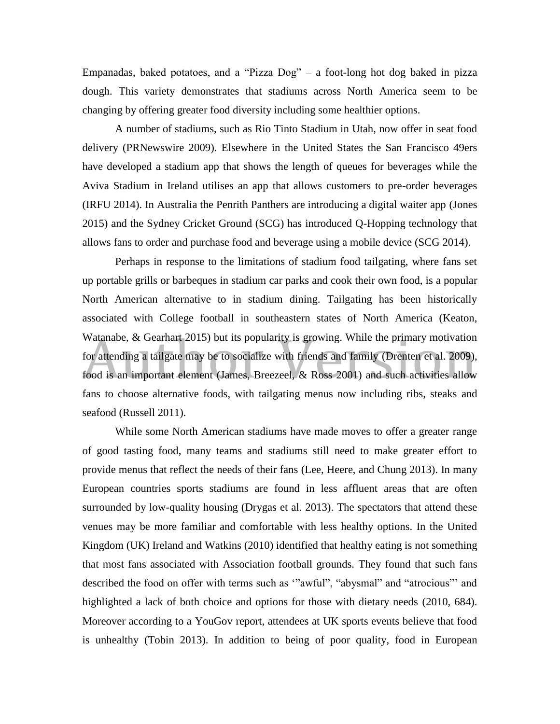Empanadas, baked potatoes, and a "Pizza Dog" – a foot-long hot dog baked in pizza dough. This variety demonstrates that stadiums across North America seem to be changing by offering greater food diversity including some healthier options.

A number of stadiums, such as Rio Tinto Stadium in Utah, now offer in seat food delivery (PRNewswire 2009). Elsewhere in the United States the San Francisco 49ers have developed a stadium app that shows the length of queues for beverages while the Aviva Stadium in Ireland utilises an app that allows customers to pre-order beverages (IRFU 2014). In Australia the Penrith Panthers are introducing a digital waiter app (Jones 2015) and the Sydney Cricket Ground (SCG) has introduced Q-Hopping technology that allows fans to order and purchase food and beverage using a mobile device (SCG 2014).

Perhaps in response to the limitations of stadium food tailgating, where fans set up portable grills or barbeques in stadium car parks and cook their own food, is a popular North American alternative to in stadium dining. Tailgating has been historically associated with College football in southeastern states of North America (Keaton, Watanabe, & Gearhart 2015) but its popularity is growing. While the primary motivation for attending a tailgate may be to socialize with friends and family (Drenten et al. 2009), food is an important element (James, Breezeel, & Ross 2001) and such activities allow fans to choose alternative foods, with tailgating menus now including ribs, steaks and seafood (Russell 2011).

While some North American stadiums have made moves to offer a greater range of good tasting food, many teams and stadiums still need to make greater effort to provide menus that reflect the needs of their fans (Lee, Heere, and Chung 2013). In many European countries sports stadiums are found in less affluent areas that are often surrounded by low-quality housing (Drygas et al. 2013). The spectators that attend these venues may be more familiar and comfortable with less healthy options. In the United Kingdom (UK) Ireland and Watkins (2010) identified that healthy eating is not something that most fans associated with Association football grounds. They found that such fans described the food on offer with terms such as '"awful", "abysmal" and "atrocious"' and highlighted a lack of both choice and options for those with dietary needs (2010, 684). Moreover according to a YouGov report, attendees at UK sports events believe that food is unhealthy (Tobin 2013). In addition to being of poor quality, food in European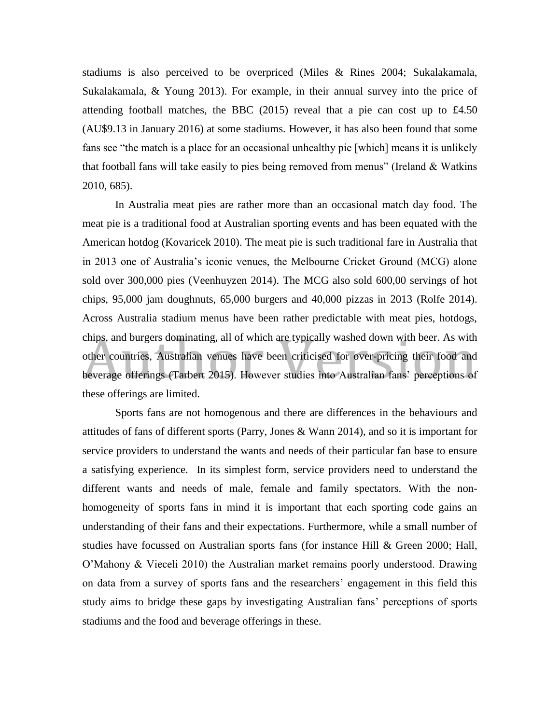stadiums is also perceived to be overpriced (Miles & Rines 2004; Sukalakamala, Sukalakamala, & Young 2013). For example, in their annual survey into the price of attending football matches, the BBC (2015) reveal that a pie can cost up to £4.50 (AU\$9.13 in January 2016) at some stadiums. However, it has also been found that some fans see "the match is a place for an occasional unhealthy pie [which] means it is unlikely that football fans will take easily to pies being removed from menus" (Ireland & Watkins 2010, 685).

In Australia meat pies are rather more than an occasional match day food. The meat pie is a traditional food at Australian sporting events and has been equated with the American hotdog (Kovaricek 2010). The meat pie is such traditional fare in Australia that in 2013 one of Australia's iconic venues, the Melbourne Cricket Ground (MCG) alone sold over 300,000 pies (Veenhuyzen 2014). The MCG also sold 600,00 servings of hot chips, 95,000 jam doughnuts, 65,000 burgers and 40,000 pizzas in 2013 (Rolfe 2014). Across Australia stadium menus have been rather predictable with meat pies, hotdogs, chips, and burgers dominating, all of which are typically washed down with beer. As with other countries, Australian venues have been criticised for over-pricing their food and beverage offerings (Tarbert 2015). However studies into Australian fans' perceptions of these offerings are limited.

Sports fans are not homogenous and there are differences in the behaviours and attitudes of fans of different sports (Parry, Jones & Wann 2014), and so it is important for service providers to understand the wants and needs of their particular fan base to ensure a satisfying experience. In its simplest form, service providers need to understand the different wants and needs of male, female and family spectators. With the nonhomogeneity of sports fans in mind it is important that each sporting code gains an understanding of their fans and their expectations. Furthermore, while a small number of studies have focussed on Australian sports fans (for instance Hill & Green 2000; Hall, O'Mahony & Vieceli 2010) the Australian market remains poorly understood. Drawing on data from a survey of sports fans and the researchers' engagement in this field this study aims to bridge these gaps by investigating Australian fans' perceptions of sports stadiums and the food and beverage offerings in these.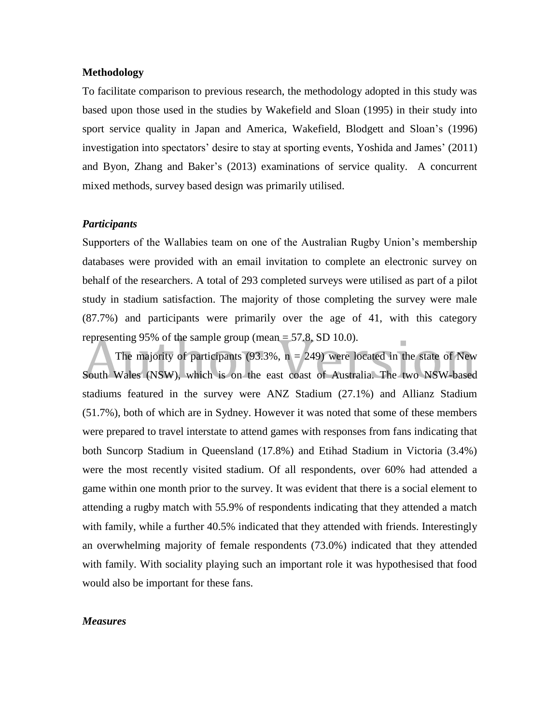#### **Methodology**

To facilitate comparison to previous research, the methodology adopted in this study was based upon those used in the studies by Wakefield and Sloan (1995) in their study into sport service quality in Japan and America, Wakefield, Blodgett and Sloan's (1996) investigation into spectators' desire to stay at sporting events, Yoshida and James' (2011) and Byon, Zhang and Baker's (2013) examinations of service quality. A concurrent mixed methods, survey based design was primarily utilised.

#### *Participants*

Supporters of the Wallabies team on one of the Australian Rugby Union's membership databases were provided with an email invitation to complete an electronic survey on behalf of the researchers. A total of 293 completed surveys were utilised as part of a pilot study in stadium satisfaction. The majority of those completing the survey were male (87.7%) and participants were primarily over the age of 41, with this category representing 95% of the sample group (mean  $=$  57.8, SD 10.0).

The majority of participants (93.3%,  $n = 249$ ) were located in the state of New South Wales (NSW), which is on the east coast of Australia. The two NSW-based stadiums featured in the survey were ANZ Stadium (27.1%) and Allianz Stadium (51.7%), both of which are in Sydney. However it was noted that some of these members were prepared to travel interstate to attend games with responses from fans indicating that both Suncorp Stadium in Queensland (17.8%) and Etihad Stadium in Victoria (3.4%) were the most recently visited stadium. Of all respondents, over 60% had attended a game within one month prior to the survey. It was evident that there is a social element to attending a rugby match with 55.9% of respondents indicating that they attended a match with family, while a further 40.5% indicated that they attended with friends. Interestingly an overwhelming majority of female respondents (73.0%) indicated that they attended with family. With sociality playing such an important role it was hypothesised that food would also be important for these fans.

#### *Measures*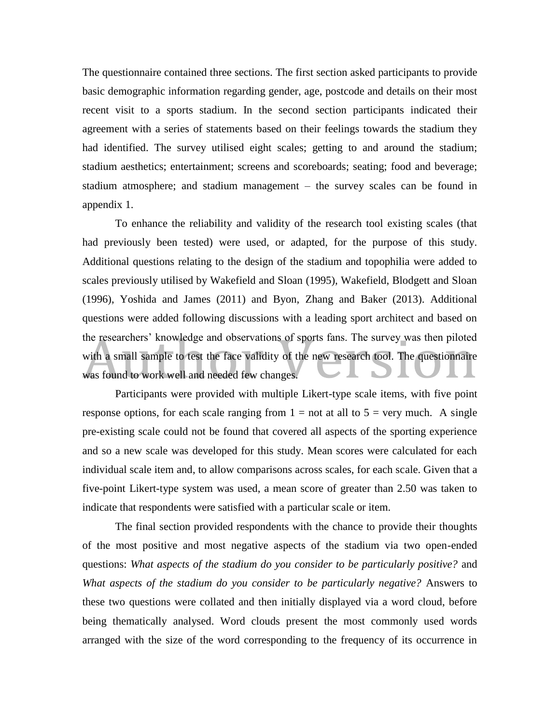The questionnaire contained three sections. The first section asked participants to provide basic demographic information regarding gender, age, postcode and details on their most recent visit to a sports stadium. In the second section participants indicated their agreement with a series of statements based on their feelings towards the stadium they had identified. The survey utilised eight scales; getting to and around the stadium; stadium aesthetics; entertainment; screens and scoreboards; seating; food and beverage; stadium atmosphere; and stadium management – the survey scales can be found in appendix 1.

To enhance the reliability and validity of the research tool existing scales (that had previously been tested) were used, or adapted, for the purpose of this study. Additional questions relating to the design of the stadium and topophilia were added to scales previously utilised by Wakefield and Sloan (1995), Wakefield, Blodgett and Sloan (1996), Yoshida and James (2011) and Byon, Zhang and Baker (2013). Additional questions were added following discussions with a leading sport architect and based on the researchers' knowledge and observations of sports fans. The survey was then piloted with a small sample to test the face validity of the new research tool. The questionnaire was found to work well and needed few changes.

Participants were provided with multiple Likert-type scale items, with five point response options, for each scale ranging from  $1 = not$  at all to  $5 = very$  much. A single pre-existing scale could not be found that covered all aspects of the sporting experience and so a new scale was developed for this study. Mean scores were calculated for each individual scale item and, to allow comparisons across scales, for each scale. Given that a five-point Likert-type system was used, a mean score of greater than 2.50 was taken to indicate that respondents were satisfied with a particular scale or item.

The final section provided respondents with the chance to provide their thoughts of the most positive and most negative aspects of the stadium via two open-ended questions: *What aspects of the stadium do you consider to be particularly positive?* and *What aspects of the stadium do you consider to be particularly negative?* Answers to these two questions were collated and then initially displayed via a word cloud, before being thematically analysed. Word clouds present the most commonly used words arranged with the size of the word corresponding to the frequency of its occurrence in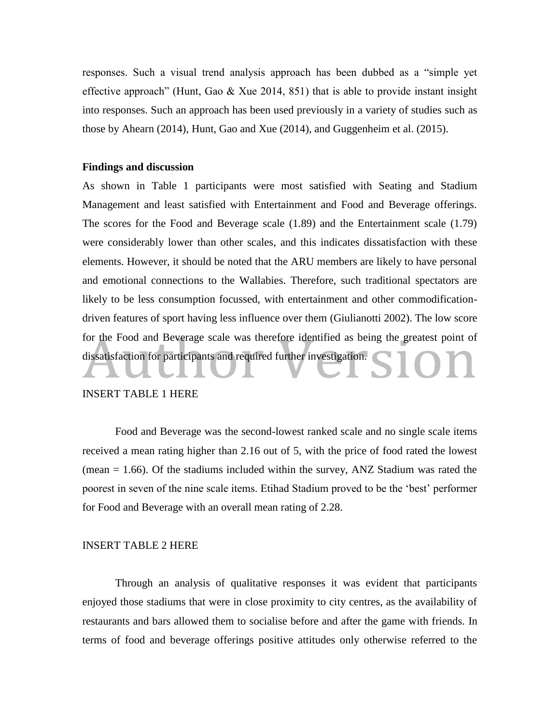responses. Such a visual trend analysis approach has been dubbed as a "simple yet effective approach" (Hunt, Gao & Xue 2014, 851) that is able to provide instant insight into responses. Such an approach has been used previously in a variety of studies such as those by Ahearn (2014), Hunt, Gao and Xue (2014), and Guggenheim et al. (2015).

#### **Findings and discussion**

As shown in Table 1 participants were most satisfied with Seating and Stadium Management and least satisfied with Entertainment and Food and Beverage offerings. The scores for the Food and Beverage scale (1.89) and the Entertainment scale (1.79) were considerably lower than other scales, and this indicates dissatisfaction with these elements. However, it should be noted that the ARU members are likely to have personal and emotional connections to the Wallabies. Therefore, such traditional spectators are likely to be less consumption focussed, with entertainment and other commodificationdriven features of sport having less influence over them (Giulianotti 2002). The low score for the Food and Beverage scale was therefore identified as being the greatest point of dissatisfaction for participants and required further investigation.

#### INSERT TABLE 1 HERE

Food and Beverage was the second-lowest ranked scale and no single scale items received a mean rating higher than 2.16 out of 5, with the price of food rated the lowest (mean  $= 1.66$ ). Of the stadiums included within the survey, ANZ Stadium was rated the poorest in seven of the nine scale items. Etihad Stadium proved to be the 'best' performer for Food and Beverage with an overall mean rating of 2.28.

#### INSERT TABLE 2 HERE

Through an analysis of qualitative responses it was evident that participants enjoyed those stadiums that were in close proximity to city centres, as the availability of restaurants and bars allowed them to socialise before and after the game with friends. In terms of food and beverage offerings positive attitudes only otherwise referred to the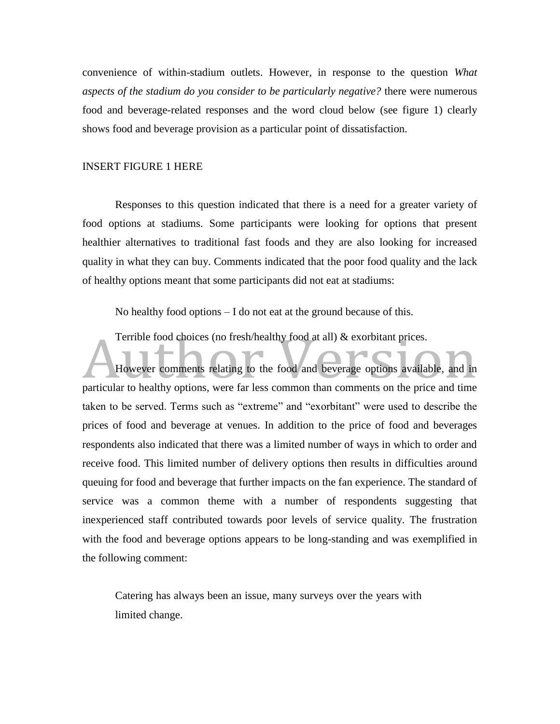convenience of within-stadium outlets. However, in response to the question *What aspects of the stadium do you consider to be particularly negative?* there were numerous food and beverage-related responses and the word cloud below (see figure 1) clearly shows food and beverage provision as a particular point of dissatisfaction.

#### INSERT FIGURE 1 HERE

Responses to this question indicated that there is a need for a greater variety of food options at stadiums. Some participants were looking for options that present healthier alternatives to traditional fast foods and they are also looking for increased quality in what they can buy. Comments indicated that the poor food quality and the lack of healthy options meant that some participants did not eat at stadiums:

No healthy food options – I do not eat at the ground because of this.

Terrible food choices (no fresh/healthy food at all) & exorbitant prices.

However comments relating to the food and beverage options available, and in particular to healthy options, were far less common than comments on the price and time taken to be served. Terms such as "extreme" and "exorbitant" were used to describe the prices of food and beverage at venues. In addition to the price of food and beverages respondents also indicated that there was a limited number of ways in which to order and receive food. This limited number of delivery options then results in difficulties around queuing for food and beverage that further impacts on the fan experience. The standard of service was a common theme with a number of respondents suggesting that inexperienced staff contributed towards poor levels of service quality. The frustration with the food and beverage options appears to be long-standing and was exemplified in the following comment:

Catering has always been an issue, many surveys over the years with limited change.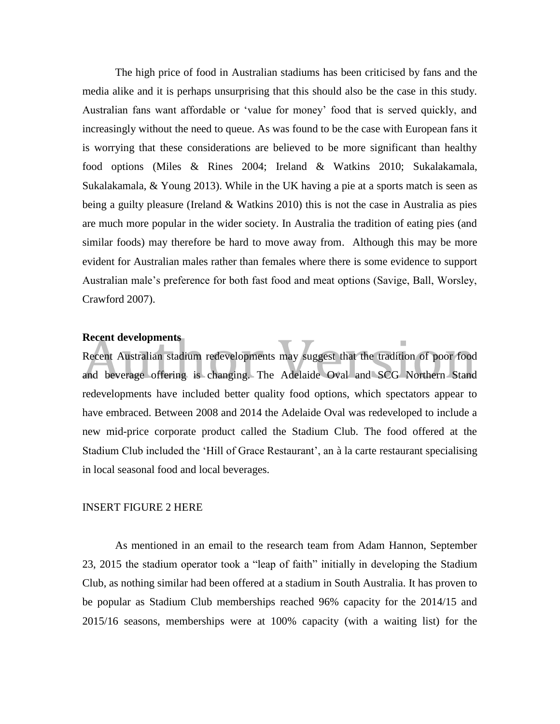The high price of food in Australian stadiums has been criticised by fans and the media alike and it is perhaps unsurprising that this should also be the case in this study. Australian fans want affordable or 'value for money' food that is served quickly, and increasingly without the need to queue. As was found to be the case with European fans it is worrying that these considerations are believed to be more significant than healthy food options (Miles & Rines 2004; Ireland & Watkins 2010; Sukalakamala, Sukalakamala, & Young 2013). While in the UK having a pie at a sports match is seen as being a guilty pleasure (Ireland & Watkins 2010) this is not the case in Australia as pies are much more popular in the wider society. In Australia the tradition of eating pies (and similar foods) may therefore be hard to move away from. Although this may be more evident for Australian males rather than females where there is some evidence to support Australian male's preference for both fast food and meat options (Savige, Ball, Worsley, Crawford 2007).

#### **Recent developments**

Recent Australian stadium redevelopments may suggest that the tradition of poor food and beverage offering is changing. The Adelaide Oval and SCG Northern Stand redevelopments have included better quality food options, which spectators appear to have embraced. Between 2008 and 2014 the Adelaide Oval was redeveloped to include a new mid-price corporate product called the Stadium Club. The food offered at the Stadium Club included the 'Hill of Grace Restaurant', an à la carte restaurant specialising in local seasonal food and local beverages.

#### INSERT FIGURE 2 HERE

As mentioned in an email to the research team from Adam Hannon, September 23, 2015 the stadium operator took a "leap of faith" initially in developing the Stadium Club, as nothing similar had been offered at a stadium in South Australia. It has proven to be popular as Stadium Club memberships reached 96% capacity for the 2014/15 and 2015/16 seasons, memberships were at 100% capacity (with a waiting list) for the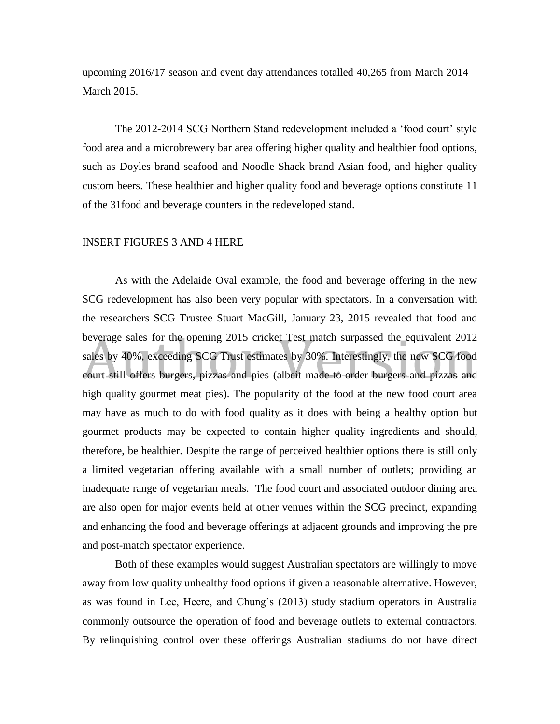upcoming 2016/17 season and event day attendances totalled 40,265 from March 2014 – March 2015.

The 2012-2014 SCG Northern Stand redevelopment included a 'food court' style food area and a microbrewery bar area offering higher quality and healthier food options, such as Doyles brand seafood and Noodle Shack brand Asian food, and higher quality custom beers. These healthier and higher quality food and beverage options constitute 11 of the 31food and beverage counters in the redeveloped stand.

#### INSERT FIGURES 3 AND 4 HERE

As with the Adelaide Oval example, the food and beverage offering in the new SCG redevelopment has also been very popular with spectators. In a conversation with the researchers SCG Trustee Stuart MacGill, January 23, 2015 revealed that food and beverage sales for the opening 2015 cricket Test match surpassed the equivalent 2012 sales by 40%, exceeding SCG Trust estimates by 30%. Interestingly, the new SCG food court still offers burgers, pizzas and pies (albeit made-to-order burgers and pizzas and high quality gourmet meat pies). The popularity of the food at the new food court area may have as much to do with food quality as it does with being a healthy option but gourmet products may be expected to contain higher quality ingredients and should, therefore, be healthier. Despite the range of perceived healthier options there is still only a limited vegetarian offering available with a small number of outlets; providing an inadequate range of vegetarian meals. The food court and associated outdoor dining area are also open for major events held at other venues within the SCG precinct, expanding and enhancing the food and beverage offerings at adjacent grounds and improving the pre and post-match spectator experience.

Both of these examples would suggest Australian spectators are willingly to move away from low quality unhealthy food options if given a reasonable alternative. However, as was found in Lee, Heere, and Chung's (2013) study stadium operators in Australia commonly outsource the operation of food and beverage outlets to external contractors. By relinquishing control over these offerings Australian stadiums do not have direct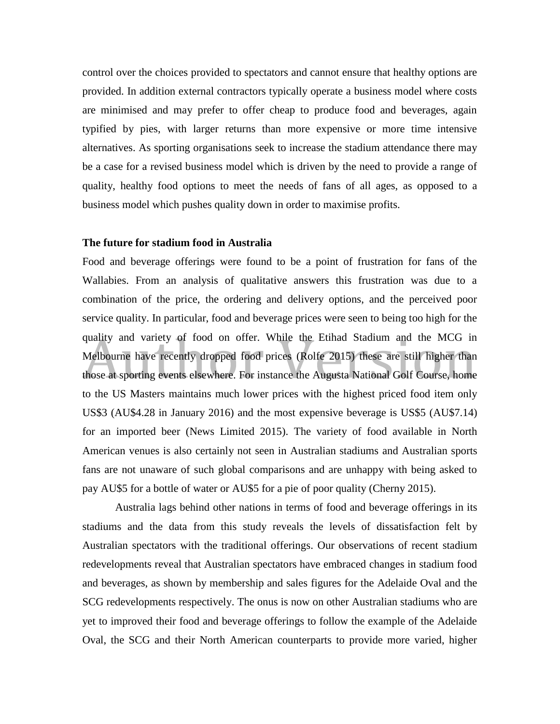control over the choices provided to spectators and cannot ensure that healthy options are provided. In addition external contractors typically operate a business model where costs are minimised and may prefer to offer cheap to produce food and beverages, again typified by pies, with larger returns than more expensive or more time intensive alternatives. As sporting organisations seek to increase the stadium attendance there may be a case for a revised business model which is driven by the need to provide a range of quality, healthy food options to meet the needs of fans of all ages, as opposed to a business model which pushes quality down in order to maximise profits.

#### **The future for stadium food in Australia**

Food and beverage offerings were found to be a point of frustration for fans of the Wallabies. From an analysis of qualitative answers this frustration was due to a combination of the price, the ordering and delivery options, and the perceived poor service quality. In particular, food and beverage prices were seen to being too high for the quality and variety of food on offer. While the Etihad Stadium and the MCG in Melbourne have recently dropped food prices (Rolfe 2015) these are still higher than those at sporting events elsewhere. For instance the Augusta National Golf Course, home to the US Masters maintains much lower prices with the highest priced food item only US\$3 (AU\$4.28 in January 2016) and the most expensive beverage is US\$5 (AU\$7.14) for an imported beer (News Limited 2015). The variety of food available in North American venues is also certainly not seen in Australian stadiums and Australian sports fans are not unaware of such global comparisons and are unhappy with being asked to pay AU\$5 for a bottle of water or AU\$5 for a pie of poor quality (Cherny 2015).

Australia lags behind other nations in terms of food and beverage offerings in its stadiums and the data from this study reveals the levels of dissatisfaction felt by Australian spectators with the traditional offerings. Our observations of recent stadium redevelopments reveal that Australian spectators have embraced changes in stadium food and beverages, as shown by membership and sales figures for the Adelaide Oval and the SCG redevelopments respectively. The onus is now on other Australian stadiums who are yet to improved their food and beverage offerings to follow the example of the Adelaide Oval, the SCG and their North American counterparts to provide more varied, higher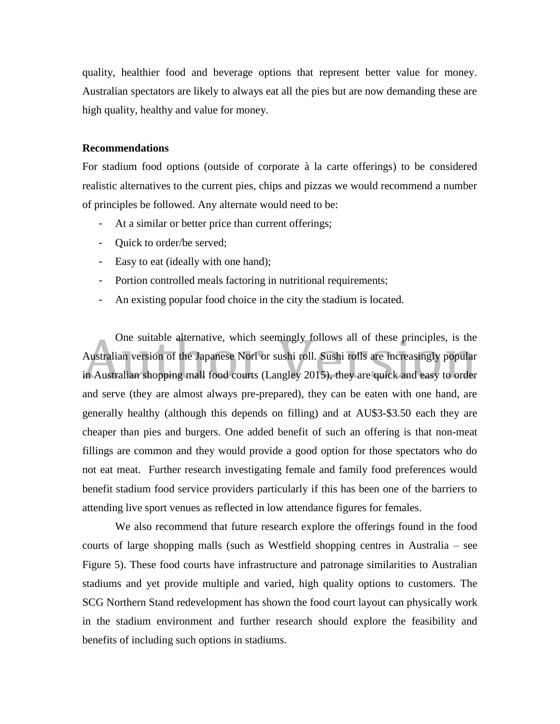quality, healthier food and beverage options that represent better value for money. Australian spectators are likely to always eat all the pies but are now demanding these are high quality, healthy and value for money.

#### **Recommendations**

For stadium food options (outside of corporate à la carte offerings) to be considered realistic alternatives to the current pies, chips and pizzas we would recommend a number of principles be followed. Any alternate would need to be:

- At a similar or better price than current offerings;
- Quick to order/be served;
- Easy to eat (ideally with one hand);
- Portion controlled meals factoring in nutritional requirements;
- An existing popular food choice in the city the stadium is located.

One suitable alternative, which seemingly follows all of these principles, is the Australian version of the Japanese Nori or sushi roll. Sushi rolls are increasingly popular in Australian shopping mall food courts (Langley 2015), they are quick and easy to order and serve (they are almost always pre-prepared), they can be eaten with one hand, are generally healthy (although this depends on filling) and at AU\$3-\$3.50 each they are cheaper than pies and burgers. One added benefit of such an offering is that non-meat fillings are common and they would provide a good option for those spectators who do not eat meat. Further research investigating female and family food preferences would benefit stadium food service providers particularly if this has been one of the barriers to attending live sport venues as reflected in low attendance figures for females.

We also recommend that future research explore the offerings found in the food courts of large shopping malls (such as Westfield shopping centres in Australia – see Figure 5). These food courts have infrastructure and patronage similarities to Australian stadiums and yet provide multiple and varied, high quality options to customers. The SCG Northern Stand redevelopment has shown the food court layout can physically work in the stadium environment and further research should explore the feasibility and benefits of including such options in stadiums.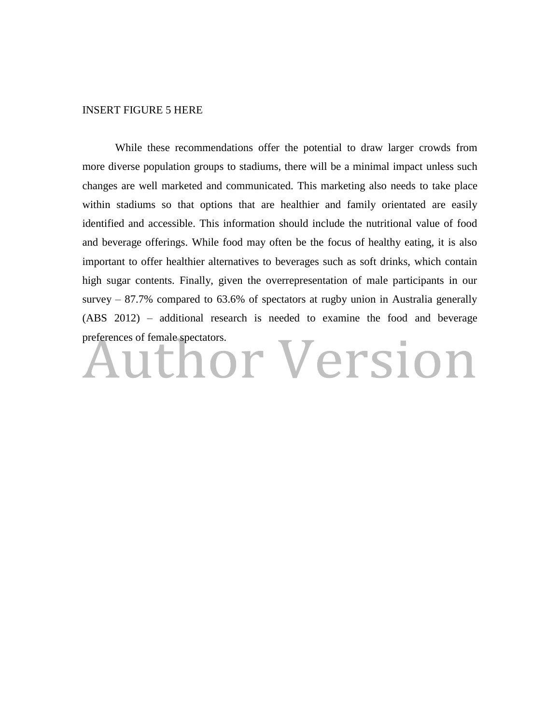#### INSERT FIGURE 5 HERE

While these recommendations offer the potential to draw larger crowds from more diverse population groups to stadiums, there will be a minimal impact unless such changes are well marketed and communicated. This marketing also needs to take place within stadiums so that options that are healthier and family orientated are easily identified and accessible. This information should include the nutritional value of food and beverage offerings. While food may often be the focus of healthy eating, it is also important to offer healthier alternatives to beverages such as soft drinks, which contain high sugar contents. Finally, given the overrepresentation of male participants in our survey – 87.7% compared to 63.6% of spectators at rugby union in Australia generally (ABS 2012) – additional research is needed to examine the food and beverage

# preferences of female spectators.<br>Author Version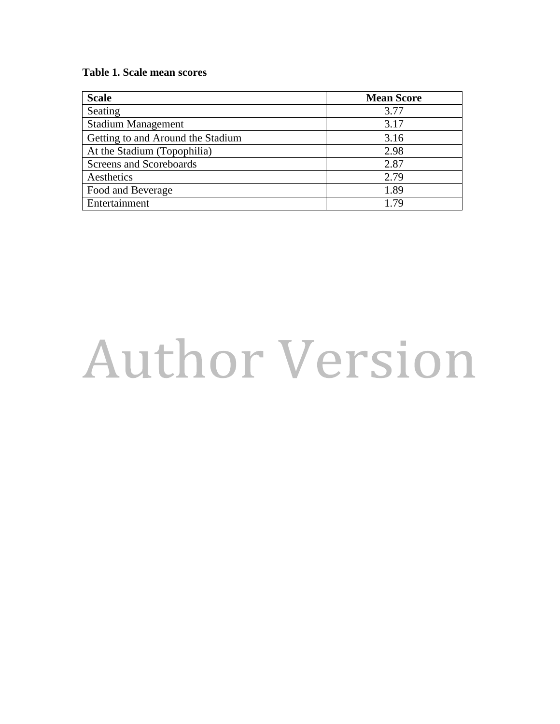#### **Table 1 . Scale mean scores**

| <b>Scale</b>                      | <b>Mean Score</b> |
|-----------------------------------|-------------------|
| Seating                           | 3.77              |
| <b>Stadium Management</b>         | 3.17              |
| Getting to and Around the Stadium | 3.16              |
| At the Stadium (Topophilia)       | 2.98              |
| Screens and Scoreboards           | 2.87              |
| Aesthetics                        | 2.79              |
| Food and Beverage                 | 1.89              |
| Entertainment                     | 1.79              |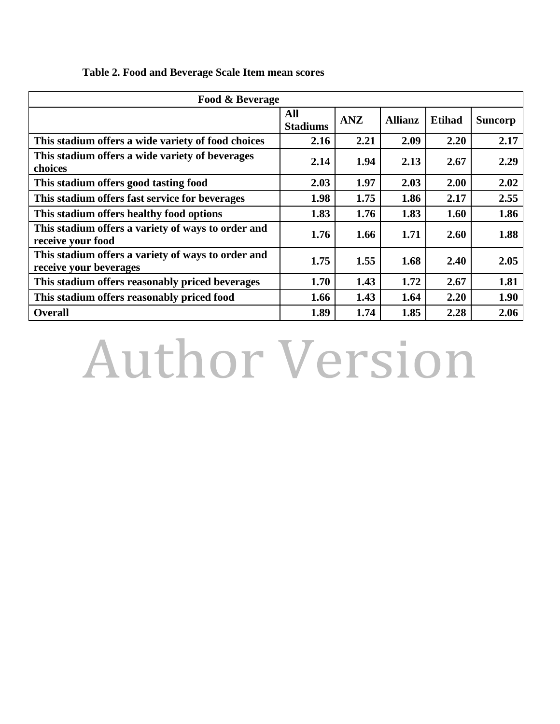| Food & Beverage                                                              |                        |            |                |               |                |  |
|------------------------------------------------------------------------------|------------------------|------------|----------------|---------------|----------------|--|
|                                                                              | All<br><b>Stadiums</b> | <b>ANZ</b> | <b>Allianz</b> | <b>Etihad</b> | <b>Suncorp</b> |  |
| This stadium offers a wide variety of food choices                           | 2.16                   | 2.21       | 2.09           | 2.20          | 2.17           |  |
| This stadium offers a wide variety of beverages<br>choices                   | 2.14                   | 1.94       | 2.13           | 2.67          | 2.29           |  |
| This stadium offers good tasting food                                        | 2.03                   | 1.97       | 2.03           | 2.00          | 2.02           |  |
| This stadium offers fast service for beverages                               | 1.98                   | 1.75       | 1.86           | 2.17          | 2.55           |  |
| This stadium offers healthy food options                                     | 1.83                   | 1.76       | 1.83           | 1.60          | 1.86           |  |
| This stadium offers a variety of ways to order and<br>receive your food      | 1.76                   | 1.66       | 1.71           | 2.60          | 1.88           |  |
| This stadium offers a variety of ways to order and<br>receive your beverages | 1.75                   | 1.55       | 1.68           | 2.40          | 2.05           |  |
| This stadium offers reasonably priced beverages                              | 1.70                   | 1.43       | 1.72           | 2.67          | 1.81           |  |
| This stadium offers reasonably priced food                                   | 1.66                   | 1.43       | 1.64           | 2.20          | 1.90           |  |
| <b>Overall</b>                                                               | 1.89                   | 1.74       | 1.85           | 2.28          | 2.06           |  |

### **Table 2. Food and Beverage Scale Item mean scores**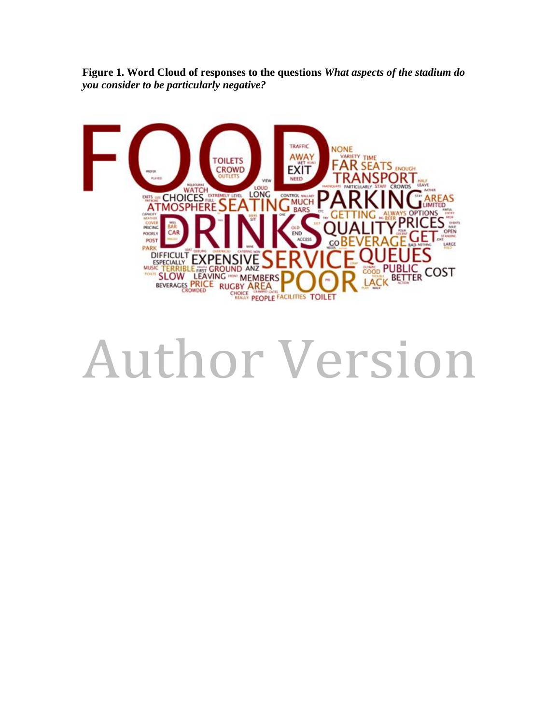**Figure 1. Word Cloud of responses to the questions** *What aspects of the stadium do you consider to be particularly negative?*

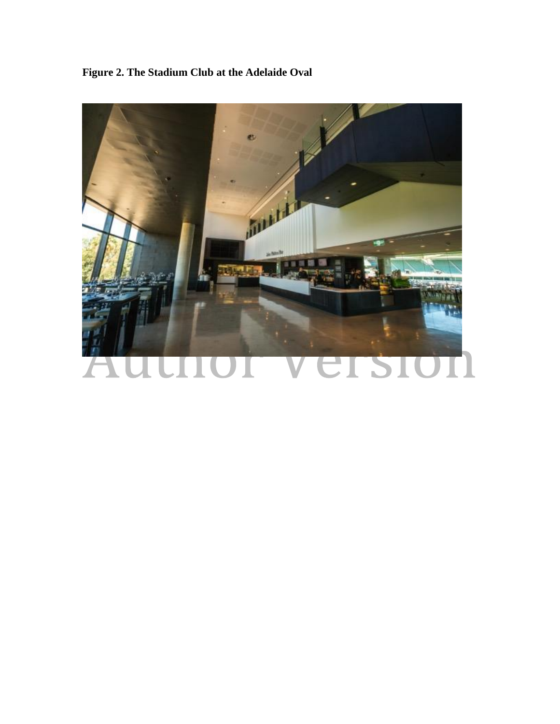**Figure 2. The Stadium Club at the Adelaide Oval**

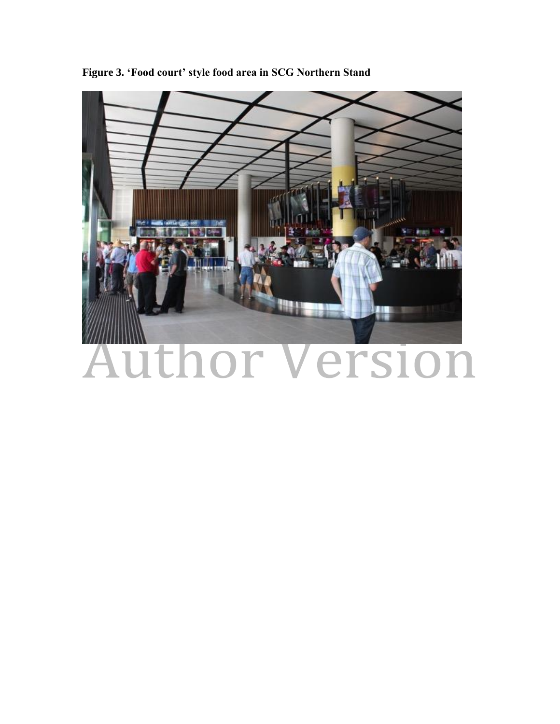

**Figure 3. 'Food court' style food area in SCG Northern Stand**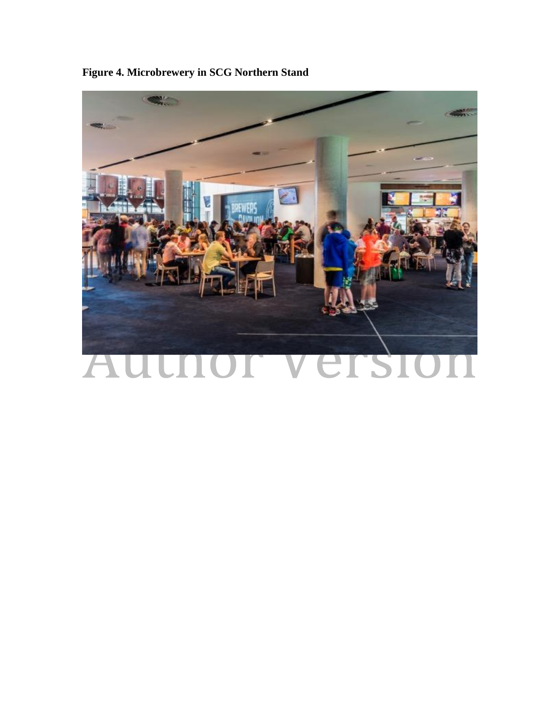

**Figure 4. Microbrewery in SCG Northern Stand**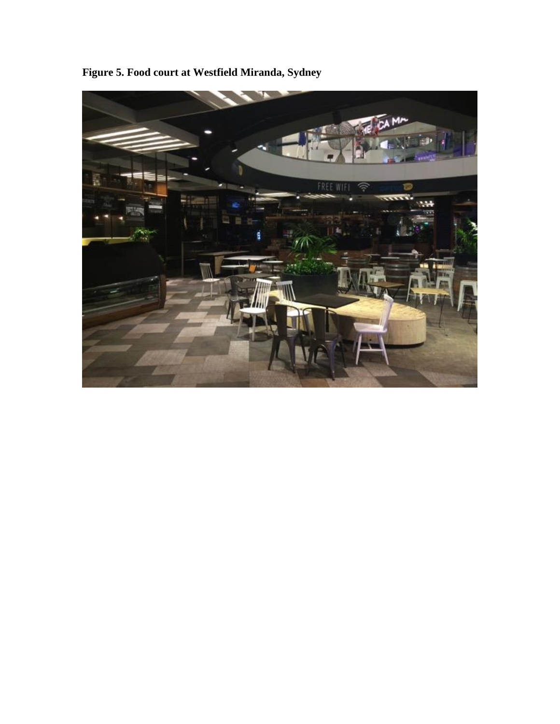

**Figure 5. Food court at Westfield Miranda, Sydney**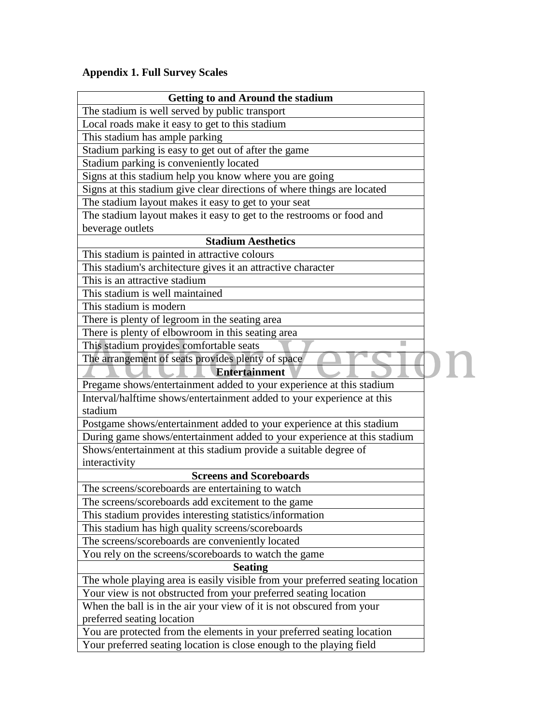### **Appendix 1. Full Survey Scales**

| <b>Getting to and Around the stadium</b>                                      |  |  |
|-------------------------------------------------------------------------------|--|--|
| The stadium is well served by public transport                                |  |  |
| Local roads make it easy to get to this stadium                               |  |  |
| This stadium has ample parking                                                |  |  |
| Stadium parking is easy to get out of after the game                          |  |  |
| Stadium parking is conveniently located                                       |  |  |
| Signs at this stadium help you know where you are going                       |  |  |
| Signs at this stadium give clear directions of where things are located       |  |  |
| The stadium layout makes it easy to get to your seat                          |  |  |
| The stadium layout makes it easy to get to the restrooms or food and          |  |  |
| beverage outlets                                                              |  |  |
| <b>Stadium Aesthetics</b>                                                     |  |  |
| This stadium is painted in attractive colours                                 |  |  |
| This stadium's architecture gives it an attractive character                  |  |  |
| This is an attractive stadium                                                 |  |  |
| This stadium is well maintained                                               |  |  |
| This stadium is modern                                                        |  |  |
| There is plenty of legroom in the seating area                                |  |  |
| There is plenty of elbowroom in this seating area                             |  |  |
| This stadium provides comfortable seats                                       |  |  |
| The arrangement of seats provides plenty of space                             |  |  |
| <b>Entertainment</b>                                                          |  |  |
| Pregame shows/entertainment added to your experience at this stadium          |  |  |
| Interval/halftime shows/entertainment added to your experience at this        |  |  |
| stadium                                                                       |  |  |
| Postgame shows/entertainment added to your experience at this stadium         |  |  |
| During game shows/entertainment added to your experience at this stadium      |  |  |
| Shows/entertainment at this stadium provide a suitable degree of              |  |  |
| interactivity                                                                 |  |  |
| <b>Screens and Scoreboards</b>                                                |  |  |
| The screens/scoreboards are entertaining to watch                             |  |  |
| The screens/scoreboards add excitement to the game                            |  |  |
| This stadium provides interesting statistics/information                      |  |  |
| This stadium has high quality screens/scoreboards                             |  |  |
| The screens/scoreboards are conveniently located                              |  |  |
| You rely on the screens/scoreboards to watch the game                         |  |  |
| <b>Seating</b>                                                                |  |  |
| The whole playing area is easily visible from your preferred seating location |  |  |
| Your view is not obstructed from your preferred seating location              |  |  |
| When the ball is in the air your view of it is not obscured from your         |  |  |
| preferred seating location                                                    |  |  |
| You are protected from the elements in your preferred seating location        |  |  |
| Your preferred seating location is close enough to the playing field          |  |  |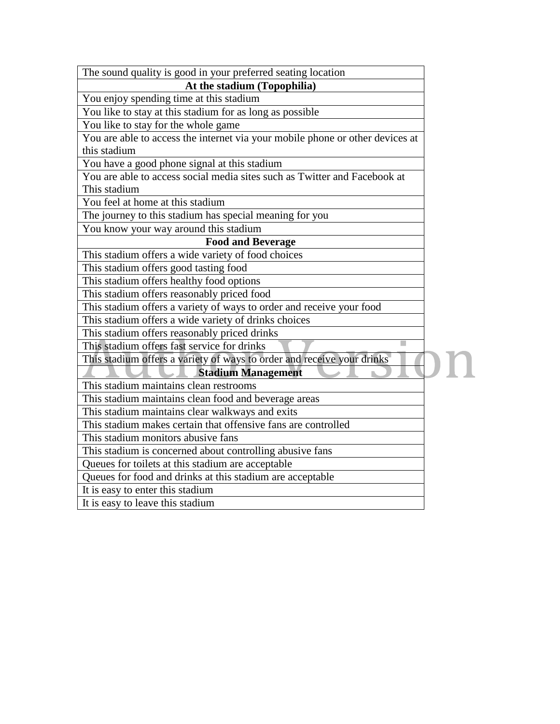| The sound quality is good in your preferred seating location                  |  |  |  |  |
|-------------------------------------------------------------------------------|--|--|--|--|
| At the stadium (Topophilia)                                                   |  |  |  |  |
| You enjoy spending time at this stadium                                       |  |  |  |  |
| You like to stay at this stadium for as long as possible                      |  |  |  |  |
| You like to stay for the whole game                                           |  |  |  |  |
| You are able to access the internet via your mobile phone or other devices at |  |  |  |  |
| this stadium                                                                  |  |  |  |  |
| You have a good phone signal at this stadium                                  |  |  |  |  |
| You are able to access social media sites such as Twitter and Facebook at     |  |  |  |  |
| This stadium                                                                  |  |  |  |  |
| You feel at home at this stadium                                              |  |  |  |  |
| The journey to this stadium has special meaning for you                       |  |  |  |  |
| You know your way around this stadium                                         |  |  |  |  |
| <b>Food and Beverage</b>                                                      |  |  |  |  |
| This stadium offers a wide variety of food choices                            |  |  |  |  |
| This stadium offers good tasting food                                         |  |  |  |  |
| This stadium offers healthy food options                                      |  |  |  |  |
| This stadium offers reasonably priced food                                    |  |  |  |  |
| This stadium offers a variety of ways to order and receive your food          |  |  |  |  |
| This stadium offers a wide variety of drinks choices                          |  |  |  |  |
| This stadium offers reasonably priced drinks                                  |  |  |  |  |
| This stadium offers fast service for drinks                                   |  |  |  |  |
| This stadium offers a variety of ways to order and receive your drinks        |  |  |  |  |
| <b>Stadium Management</b>                                                     |  |  |  |  |
| This stadium maintains clean restrooms                                        |  |  |  |  |
| This stadium maintains clean food and beverage areas                          |  |  |  |  |
| This stadium maintains clear walkways and exits                               |  |  |  |  |
| This stadium makes certain that offensive fans are controlled                 |  |  |  |  |
| This stadium monitors abusive fans                                            |  |  |  |  |
| This stadium is concerned about controlling abusive fans                      |  |  |  |  |
| Queues for toilets at this stadium are acceptable                             |  |  |  |  |
| Queues for food and drinks at this stadium are acceptable                     |  |  |  |  |
| It is easy to enter this stadium                                              |  |  |  |  |
| It is easy to leave this stadium                                              |  |  |  |  |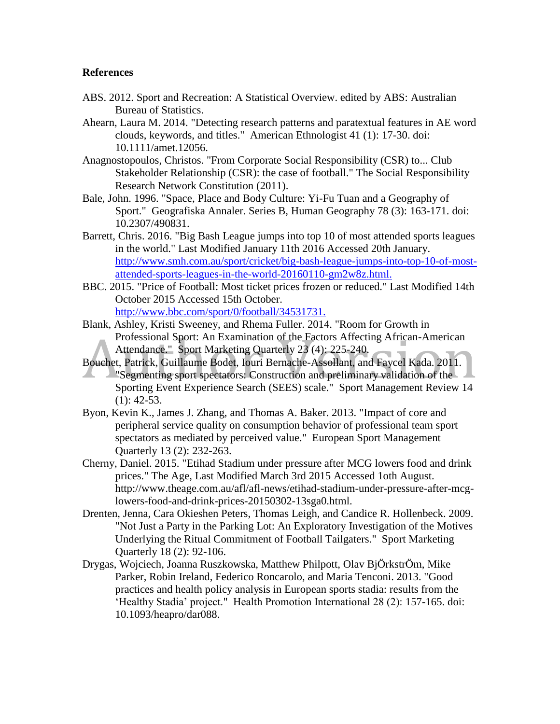#### **References**

- ABS. 2012. Sport and Recreation: A Statistical Overview. edited by ABS: Australian Bureau of Statistics.
- Ahearn, Laura M. 2014. "Detecting research patterns and paratextual features in AE word clouds, keywords, and titles." American Ethnologist 41 (1): 17-30. doi: 10.1111/amet.12056.
- Anagnostopoulos, Christos. "From Corporate Social Responsibility (CSR) to... Club Stakeholder Relationship (CSR): the case of football." The Social Responsibility Research Network Constitution (2011).
- Bale, John. 1996. "Space, Place and Body Culture: Yi-Fu Tuan and a Geography of Sport." Geografiska Annaler. Series B, Human Geography 78 (3): 163-171. doi: 10.2307/490831.
- Barrett, Chris. 2016. "Big Bash League jumps into top 10 of most attended sports leagues in the world." Last Modified January 11th 2016 Accessed 20th January. [http://www.smh.com.au/sport/cricket/big-bash-league-jumps-into-top-10-of-most](http://www.smh.com.au/sport/cricket/big-bash-league-jumps-into-top-10-of-most-attended-sports-leagues-in-the-world-20160110-gm2w8z.html.)[attended-sports-leagues-in-the-world-20160110-gm2w8z.html.](http://www.smh.com.au/sport/cricket/big-bash-league-jumps-into-top-10-of-most-attended-sports-leagues-in-the-world-20160110-gm2w8z.html.)
- BBC. 2015. "Price of Football: Most ticket prices frozen or reduced." Last Modified 14th October 2015 Accessed 15th October. <http://www.bbc.com/sport/0/football/34531731.>
- Blank, Ashley, Kristi Sweeney, and Rhema Fuller. 2014. "Room for Growth in Professional Sport: An Examination of the Factors Affecting African-American Attendance." Sport Marketing Quarterly 23 (4): 225-240.
- Bouchet, Patrick, Guillaume Bodet, Iouri Bernache-Assollant, and Faycel Kada. 2011.
- "Segmenting sport spectators: Construction and preliminary validation of the Sporting Event Experience Search (SEES) scale." Sport Management Review 14  $(1): 42-53.$
- Byon, Kevin K., James J. Zhang, and Thomas A. Baker. 2013. "Impact of core and peripheral service quality on consumption behavior of professional team sport spectators as mediated by perceived value." European Sport Management Quarterly 13 (2): 232-263.
- Cherny, Daniel. 2015. "Etihad Stadium under pressure after MCG lowers food and drink prices." The Age, Last Modified March 3rd 2015 Accessed 1oth August. http://www.theage.com.au/afl/afl-news/etihad-stadium-under-pressure-after-mcglowers-food-and-drink-prices-20150302-13sga0.html.
- Drenten, Jenna, Cara Okieshen Peters, Thomas Leigh, and Candice R. Hollenbeck. 2009. "Not Just a Party in the Parking Lot: An Exploratory Investigation of the Motives Underlying the Ritual Commitment of Football Tailgaters." Sport Marketing Quarterly 18 (2): 92-106.
- Drygas, Wojciech, Joanna Ruszkowska, Matthew Philpott, Olav BjÖrkstrÖm, Mike Parker, Robin Ireland, Federico Roncarolo, and Maria Tenconi. 2013. "Good practices and health policy analysis in European sports stadia: results from the 'Healthy Stadia' project." Health Promotion International 28 (2): 157-165. doi: 10.1093/heapro/dar088.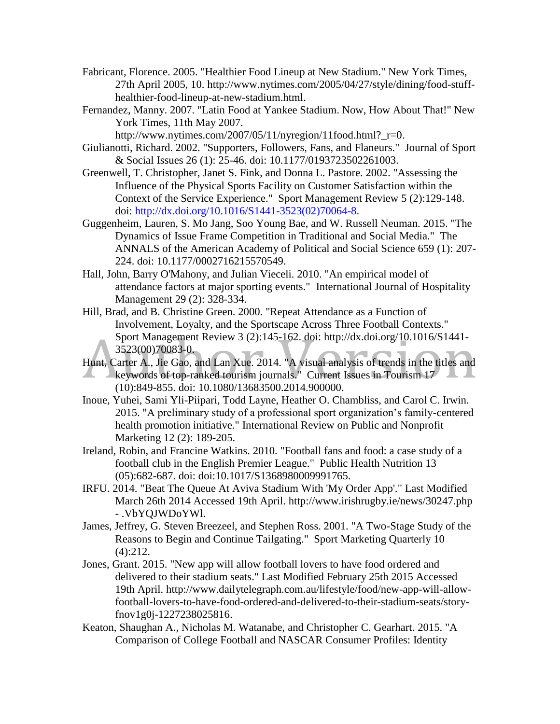- Fabricant, Florence. 2005. "Healthier Food Lineup at New Stadium." New York Times, 27th April 2005, 10. http://www.nytimes.com/2005/04/27/style/dining/food-stuffhealthier-food-lineup-at-new-stadium.html.
- Fernandez, Manny. 2007. "Latin Food at Yankee Stadium. Now, How About That!" New York Times, 11th May 2007.

http://www.nytimes.com/2007/05/11/nyregion/11food.html?\_r=0.

- Giulianotti, Richard. 2002. "Supporters, Followers, Fans, and Flaneurs." Journal of Sport & Social Issues 26 (1): 25-46. doi: 10.1177/0193723502261003.
- Greenwell, T. Christopher, Janet S. Fink, and Donna L. Pastore. 2002. "Assessing the Influence of the Physical Sports Facility on Customer Satisfaction within the Context of the Service Experience." Sport Management Review 5 (2):129-148. doi: [http://dx.doi.org/10.1016/S1441-3523\(02\)70064-8.](http://dx.doi.org/10.1016/S1441-3523(02)70064-8.)
- Guggenheim, Lauren, S. Mo Jang, Soo Young Bae, and W. Russell Neuman. 2015. "The Dynamics of Issue Frame Competition in Traditional and Social Media." The ANNALS of the American Academy of Political and Social Science 659 (1): 207- 224. doi: 10.1177/0002716215570549.
- Hall, John, Barry O'Mahony, and Julian Vieceli. 2010. "An empirical model of attendance factors at major sporting events." International Journal of Hospitality Management 29 (2): 328-334.
- Hill, Brad, and B. Christine Green. 2000. "Repeat Attendance as a Function of Involvement, Loyalty, and the Sportscape Across Three Football Contexts." Sport Management Review 3 (2):145-162. doi: http://dx.doi.org/10.1016/S1441- 3523(00)70083-0.
- Hunt, Carter A., Jie Gao, and Lan Xue. 2014. "A visual analysis of trends in the titles and keywords of top-ranked tourism journals." Current Issues in Tourism 17 (10):849-855. doi: 10.1080/13683500.2014.900000.
- Inoue, Yuhei, Sami Yli-Piipari, Todd Layne, Heather O. Chambliss, and Carol C. Irwin. 2015. "A preliminary study of a professional sport organization's family-centered health promotion initiative." International Review on Public and Nonprofit Marketing 12 (2): 189-205.
- Ireland, Robin, and Francine Watkins. 2010. "Football fans and food: a case study of a football club in the English Premier League." Public Health Nutrition 13 (05):682-687. doi: doi:10.1017/S1368980009991765.
- IRFU. 2014. "Beat The Queue At Aviva Stadium With 'My Order App'." Last Modified March 26th 2014 Accessed 19th April. http://www.irishrugby.ie/news/30247.php - .VbYQJWDoYWl.
- James, Jeffrey, G. Steven Breezeel, and Stephen Ross. 2001. "A Two-Stage Study of the Reasons to Begin and Continue Tailgating." Sport Marketing Quarterly 10 (4):212.
- Jones, Grant. 2015. "New app will allow football lovers to have food ordered and delivered to their stadium seats." Last Modified February 25th 2015 Accessed 19th April. http://www.dailytelegraph.com.au/lifestyle/food/new-app-will-allowfootball-lovers-to-have-food-ordered-and-delivered-to-their-stadium-seats/storyfnov1g0j-1227238025816.
- Keaton, Shaughan A., Nicholas M. Watanabe, and Christopher C. Gearhart. 2015. "A Comparison of College Football and NASCAR Consumer Profiles: Identity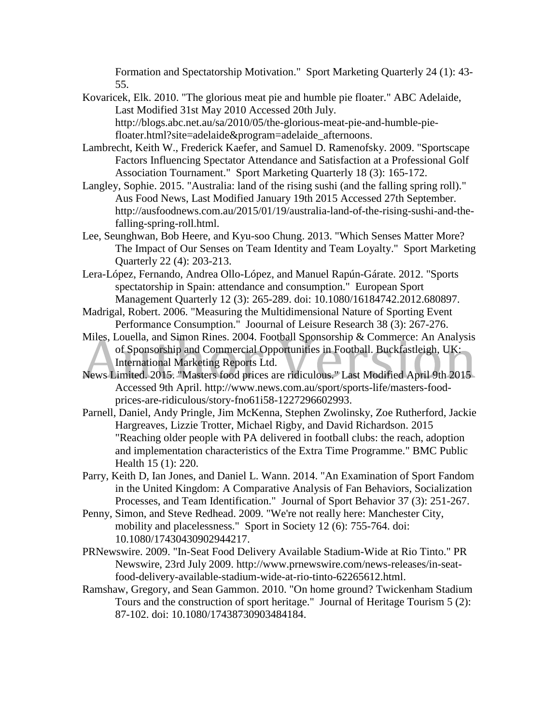Formation and Spectatorship Motivation." Sport Marketing Quarterly 24 (1): 43- 55.

- Kovaricek, Elk. 2010. "The glorious meat pie and humble pie floater." ABC Adelaide, Last Modified 31st May 2010 Accessed 20th July. http://blogs.abc.net.au/sa/2010/05/the-glorious-meat-pie-and-humble-piefloater.html?site=adelaide&program=adelaide\_afternoons.
- Lambrecht, Keith W., Frederick Kaefer, and Samuel D. Ramenofsky. 2009. "Sportscape Factors Influencing Spectator Attendance and Satisfaction at a Professional Golf Association Tournament." Sport Marketing Quarterly 18 (3): 165-172.
- Langley, Sophie. 2015. "Australia: land of the rising sushi (and the falling spring roll)." Aus Food News, Last Modified January 19th 2015 Accessed 27th September. http://ausfoodnews.com.au/2015/01/19/australia-land-of-the-rising-sushi-and-thefalling-spring-roll.html.
- Lee, Seunghwan, Bob Heere, and Kyu-soo Chung. 2013. "Which Senses Matter More? The Impact of Our Senses on Team Identity and Team Loyalty." Sport Marketing Quarterly 22 (4): 203-213.
- Lera-López, Fernando, Andrea Ollo-López, and Manuel Rapún-Gárate. 2012. "Sports spectatorship in Spain: attendance and consumption." European Sport Management Quarterly 12 (3): 265-289. doi: 10.1080/16184742.2012.680897.
- Madrigal, Robert. 2006. "Measuring the Multidimensional Nature of Sporting Event Performance Consumption." Joournal of Leisure Research 38 (3): 267-276.
- Miles, Louella, and Simon Rines. 2004. Football Sponsorship & Commerce: An Analysis of Sponsorship and Commercial Opportunities in Football. Buckfastleigh, UK: International Marketing Reports Ltd.
- News Limited. 2015. "Masters food prices are ridiculous." Last Modified April 9th 2015 Accessed 9th April. http://www.news.com.au/sport/sports-life/masters-foodprices-are-ridiculous/story-fno61i58-1227296602993.
- Parnell, Daniel, Andy Pringle, Jim McKenna, Stephen Zwolinsky, Zoe Rutherford, Jackie Hargreaves, Lizzie Trotter, Michael Rigby, and David Richardson. 2015 "Reaching older people with PA delivered in football clubs: the reach, adoption and implementation characteristics of the Extra Time Programme." BMC Public Health 15 (1): 220.
- Parry, Keith D, Ian Jones, and Daniel L. Wann. 2014. "An Examination of Sport Fandom in the United Kingdom: A Comparative Analysis of Fan Behaviors, Socialization Processes, and Team Identification." Journal of Sport Behavior 37 (3): 251-267.
- Penny, Simon, and Steve Redhead. 2009. "We're not really here: Manchester City, mobility and placelessness." Sport in Society 12 (6): 755-764. doi: 10.1080/17430430902944217.
- PRNewswire. 2009. "In-Seat Food Delivery Available Stadium-Wide at Rio Tinto." PR Newswire, 23rd July 2009. http://www.prnewswire.com/news-releases/in-seatfood-delivery-available-stadium-wide-at-rio-tinto-62265612.html.
- Ramshaw, Gregory, and Sean Gammon. 2010. "On home ground? Twickenham Stadium Tours and the construction of sport heritage." Journal of Heritage Tourism 5 (2): 87-102. doi: 10.1080/17438730903484184.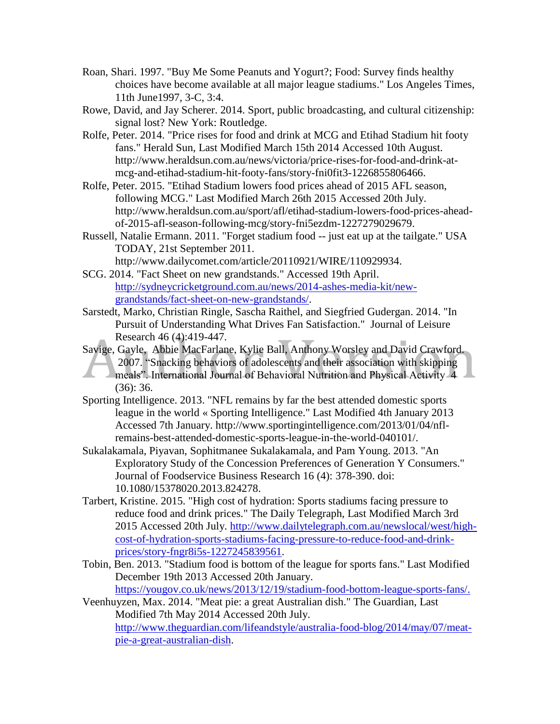- Roan, Shari. 1997. "Buy Me Some Peanuts and Yogurt?; Food: Survey finds healthy choices have become available at all major league stadiums." Los Angeles Times, 11th June1997, 3-C, 3:4.
- Rowe, David, and Jay Scherer. 2014. Sport, public broadcasting, and cultural citizenship: signal lost? New York: Routledge.
- Rolfe, Peter. 2014. "Price rises for food and drink at MCG and Etihad Stadium hit footy fans." Herald Sun, Last Modified March 15th 2014 Accessed 10th August. http://www.heraldsun.com.au/news/victoria/price-rises-for-food-and-drink-atmcg-and-etihad-stadium-hit-footy-fans/story-fni0fit3-1226855806466.
- Rolfe, Peter. 2015. "Etihad Stadium lowers food prices ahead of 2015 AFL season, following MCG." Last Modified March 26th 2015 Accessed 20th July. http://www.heraldsun.com.au/sport/afl/etihad-stadium-lowers-food-prices-aheadof-2015-afl-season-following-mcg/story-fni5ezdm-1227279029679.
- Russell, Natalie Ermann. 2011. "Forget stadium food -- just eat up at the tailgate." USA TODAY, 21st September 2011.

http://www.dailycomet.com/article/20110921/WIRE/110929934.

- SCG. 2014. "Fact Sheet on new grandstands." Accessed 19th April. [http://sydneycricketground.com.au/news/2014-ashes-media-kit/new](http://sydneycricketground.com.au/news/2014-ashes-media-kit/new-grandstands/fact-sheet-on-new-grandstands/)[grandstands/fact-sheet-on-new-grandstands/.](http://sydneycricketground.com.au/news/2014-ashes-media-kit/new-grandstands/fact-sheet-on-new-grandstands/)
- Sarstedt, Marko, Christian Ringle, Sascha Raithel, and Siegfried Gudergan. 2014. "In Pursuit of Understanding What Drives Fan Satisfaction." Journal of Leisure Research 46 (4):419-447.
- Savige, Gayle, Abbie MacFarlane, Kylie Ball, Anthony Worsley and David Crawford. 2007. "Snacking behaviors of adolescents and their association with skipping meals". International Journal of Behavioral Nutrition and Physical Activity 4 (36): 36.
- Sporting Intelligence. 2013. "NFL remains by far the best attended domestic sports league in the world « Sporting Intelligence." Last Modified 4th January 2013 Accessed 7th January. http://www.sportingintelligence.com/2013/01/04/nflremains-best-attended-domestic-sports-league-in-the-world-040101/.
- Sukalakamala, Piyavan, Sophitmanee Sukalakamala, and Pam Young. 2013. "An Exploratory Study of the Concession Preferences of Generation Y Consumers." Journal of Foodservice Business Research 16 (4): 378-390. doi: 10.1080/15378020.2013.824278.
- Tarbert, Kristine. 2015. "High cost of hydration: Sports stadiums facing pressure to reduce food and drink prices." The Daily Telegraph, Last Modified March 3rd 2015 Accessed 20th July. [http://www.dailytelegraph.com.au/newslocal/west/high](http://www.dailytelegraph.com.au/newslocal/west/high-cost-of-hydration-sports-stadiums-facing-pressure-to-reduce-food-and-drink-prices/story-fngr8i5s-1227245839561)[cost-of-hydration-sports-stadiums-facing-pressure-to-reduce-food-and-drink](http://www.dailytelegraph.com.au/newslocal/west/high-cost-of-hydration-sports-stadiums-facing-pressure-to-reduce-food-and-drink-prices/story-fngr8i5s-1227245839561)[prices/story-fngr8i5s-1227245839561.](http://www.dailytelegraph.com.au/newslocal/west/high-cost-of-hydration-sports-stadiums-facing-pressure-to-reduce-food-and-drink-prices/story-fngr8i5s-1227245839561)
- Tobin, Ben. 2013. "Stadium food is bottom of the league for sports fans." Last Modified December 19th 2013 Accessed 20th January. [https://yougov.co.uk/news/2013/12/19/stadium-food-bottom-league-sports-fans/.](https://yougov.co.uk/news/2013/12/19/stadium-food-bottom-league-sports-fans/)
- Veenhuyzen, Max. 2014. "Meat pie: a great Australian dish." The Guardian, Last Modified 7th May 2014 Accessed 20th July. [http://www.theguardian.com/lifeandstyle/australia-food-blog/2014/may/07/meat](http://www.theguardian.com/lifeandstyle/australia-food-blog/2014/may/07/meat-pie-a-great-australian-dish)[pie-a-great-australian-dish.](http://www.theguardian.com/lifeandstyle/australia-food-blog/2014/may/07/meat-pie-a-great-australian-dish)